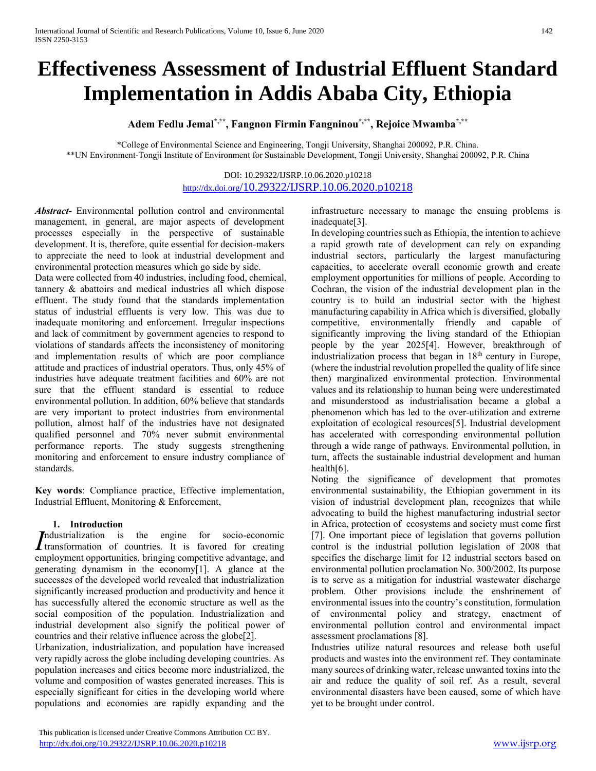# **Effectiveness Assessment of Industrial Effluent Standard Implementation in Addis Ababa City, Ethiopia**

**Adem Fedlu Jemal\*,\*\*, Fangnon Firmin Fangninou\*,\*\*, Rejoice Mwamba\*,\*\***

\*College of Environmental Science and Engineering, Tongji University, Shanghai 200092, P.R. China. \*\*UN Environment-Tongji Institute of Environment for Sustainable Development, Tongji University, Shanghai 200092, P.R. China

# DOI: 10.29322/IJSRP.10.06.2020.p10218 http://dx.doi.org[/10.29322/IJSRP.10.06.2020.p10218](http://dx.doi.org/10.29322/IJSRP.10.06.2020.p10218)

*Abstract***-** Environmental pollution control and environmental management, in general, are major aspects of development processes especially in the perspective of sustainable development. It is, therefore, quite essential for decision-makers to appreciate the need to look at industrial development and environmental protection measures which go side by side.

Data were collected from 40 industries, including food, chemical, tannery & abattoirs and medical industries all which dispose effluent. The study found that the standards implementation status of industrial effluents is very low. This was due to inadequate monitoring and enforcement. Irregular inspections and lack of commitment by government agencies to respond to violations of standards affects the inconsistency of monitoring and implementation results of which are poor compliance attitude and practices of industrial operators. Thus, only 45% of industries have adequate treatment facilities and 60% are not sure that the effluent standard is essential to reduce environmental pollution. In addition, 60% believe that standards are very important to protect industries from environmental pollution, almost half of the industries have not designated qualified personnel and 70% never submit environmental performance reports. The study suggests strengthening monitoring and enforcement to ensure industry compliance of standards.

**Key words**: Compliance practice, Effective implementation, Industrial Effluent, Monitoring & Enforcement,

## **1. Introduction**

ndustrialization is the engine for socio-economic Industrialization is the engine for socio-economic transformation of countries. It is favored for creating employment opportunities, bringing competitive advantage, and generating dynamism in the economy[1]. A glance at the successes of the developed world revealed that industrialization significantly increased production and productivity and hence it has successfully altered the economic structure as well as the social composition of the population. Industrialization and industrial development also signify the political power of countries and their relative influence across the globe[2].

Urbanization, industrialization, and population have increased very rapidly across the globe including developing countries. As population increases and cities become more industrialized, the volume and composition of wastes generated increases. This is especially significant for cities in the developing world where populations and economies are rapidly expanding and the infrastructure necessary to manage the ensuing problems is inadequate[3].

In developing countries such as Ethiopia, the intention to achieve a rapid growth rate of development can rely on expanding industrial sectors, particularly the largest manufacturing capacities, to accelerate overall economic growth and create employment opportunities for millions of people. According to Cochran, the vision of the industrial development plan in the country is to build an industrial sector with the highest manufacturing capability in Africa which is diversified, globally competitive, environmentally friendly and capable of significantly improving the living standard of the Ethiopian people by the year 2025[4]. However, breakthrough of industrialization process that began in 18<sup>th</sup> century in Europe, (where the industrial revolution propelled the quality of life since then) marginalized environmental protection. Environmental values and its relationship to human being were underestimated and misunderstood as industrialisation became a global a phenomenon which has led to the over-utilization and extreme exploitation of ecological resources[5]. Industrial development has accelerated with corresponding environmental pollution through a wide range of pathways. Environmental pollution, in turn, affects the sustainable industrial development and human health[6].

Noting the significance of development that promotes environmental sustainability, the Ethiopian government in its vision of industrial development plan, recognizes that while advocating to build the highest manufacturing industrial sector in Africa, protection of ecosystems and society must come first [7]. One important piece of legislation that governs pollution control is the industrial pollution legislation of 2008 that specifies the discharge limit for 12 industrial sectors based on environmental pollution proclamation No. 300/2002. Its purpose is to serve as a mitigation for industrial wastewater discharge problem. Other provisions include the enshrinement of environmental issues into the country's constitution, formulation of environmental policy and strategy, enactment of environmental pollution control and environmental impact assessment proclamations [8].

Industries utilize natural resources and release both useful products and wastes into the environment ref. They contaminate many sources of drinking water, release unwanted toxins into the air and reduce the quality of soil ref. As a result, several environmental disasters have been caused, some of which have yet to be brought under control.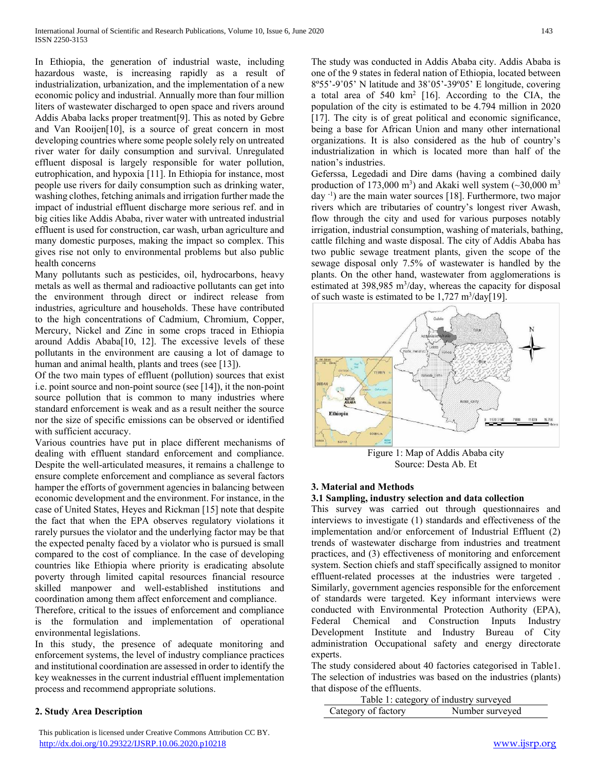In Ethiopia, the generation of industrial waste, including hazardous waste, is increasing rapidly as a result of industrialization, urbanization, and the implementation of a new economic policy and industrial. Annually more than four million liters of wastewater discharged to open space and rivers around Addis Ababa lacks proper treatment[9]. This as noted by Gebre and Van Rooijen[10], is a source of great concern in most developing countries where some people solely rely on untreated river water for daily consumption and survival. Unregulated effluent disposal is largely responsible for water pollution, eutrophication, and hypoxia [11]. In Ethiopia for instance, most people use rivers for daily consumption such as drinking water, washing clothes, fetching animals and irrigation further made the impact of industrial effluent discharge more serious ref. and in big cities like Addis Ababa, river water with untreated industrial effluent is used for construction, car wash, urban agriculture and many domestic purposes, making the impact so complex. This gives rise not only to environmental problems but also public health concerns

Many pollutants such as pesticides, oil, hydrocarbons, heavy metals as well as thermal and radioactive pollutants can get into the environment through direct or indirect release from industries, agriculture and households. These have contributed to the high concentrations of Cadmium, Chromium, Copper, Mercury, Nickel and Zinc in some crops traced in Ethiopia around Addis Ababa[10, 12]. The excessive levels of these pollutants in the environment are causing a lot of damage to human and animal health, plants and trees (see [13]).

Of the two main types of effluent (pollution) sources that exist i.e. point source and non-point source (see [14]), it the non-point source pollution that is common to many industries where standard enforcement is weak and as a result neither the source nor the size of specific emissions can be observed or identified with sufficient accuracy.

Various countries have put in place different mechanisms of dealing with effluent standard enforcement and compliance. Despite the well-articulated measures, it remains a challenge to ensure complete enforcement and compliance as several factors hamper the efforts of government agencies in balancing between economic development and the environment. For instance, in the case of United States, Heyes and Rickman [15] note that despite the fact that when the EPA observes regulatory violations it rarely pursues the violator and the underlying factor may be that the expected penalty faced by a violator who is pursued is small compared to the cost of compliance. In the case of developing countries like Ethiopia where priority is eradicating absolute poverty through limited capital resources financial resource skilled manpower and well-established institutions and coordination among them affect enforcement and compliance.

Therefore, critical to the issues of enforcement and compliance is the formulation and implementation of operational environmental legislations.

In this study, the presence of adequate monitoring and enforcement systems, the level of industry compliance practices and institutional coordination are assessed in order to identify the key weaknesses in the current industrial effluent implementation process and recommend appropriate solutions.

## **2. Study Area Description**

 This publication is licensed under Creative Commons Attribution CC BY. <http://dx.doi.org/10.29322/IJSRP.10.06.2020.p10218> [www.ijsrp.org](http://ijsrp.org/)

The study was conducted in Addis Ababa city. Addis Ababa is one of the 9 states in federal nation of Ethiopia, located between 8º55'-9˚05' N latitude and 38˚05'-39º05' E longitude, covering a total area of 540 km<sup>2</sup> [16]. According to the CIA, the population of the city is estimated to be 4.794 million in 2020 [17]. The city is of great political and economic significance, being a base for African Union and many other international organizations. It is also considered as the hub of country's industrialization in which is located more than half of the nation's industries.

Geferssa, Legedadi and Dire dams (having a combined daily production of 173,000 m<sup>3</sup>) and Akaki well system ( $\sim$ 30,000 m<sup>3</sup> day -1 ) are the main water sources [18]. Furthermore, two major rivers which are tributaries of country's longest river Awash, flow through the city and used for various purposes notably irrigation, industrial consumption, washing of materials, bathing, cattle filching and waste disposal. The city of Addis Ababa has two public sewage treatment plants, given the scope of the sewage disposal only 7.5% of wastewater is handled by the plants. On the other hand, wastewater from agglomerations is estimated at 398,985 m<sup>3</sup>/day, whereas the capacity for disposal of such waste is estimated to be  $1,727 \text{ m}^3/\text{day}$ [19].



Figure 1: Map of Addis Ababa city Source: Desta Ab. Et

## **3. Material and Methods**

#### **3.1 Sampling, industry selection and data collection**

This survey was carried out through questionnaires and interviews to investigate (1) standards and effectiveness of the implementation and/or enforcement of Industrial Effluent (2) trends of wastewater discharge from industries and treatment practices, and (3) effectiveness of monitoring and enforcement system. Section chiefs and staff specifically assigned to monitor effluent-related processes at the industries were targeted . Similarly, government agencies responsible for the enforcement of standards were targeted. Key informant interviews were conducted with Environmental Protection Authority (EPA), Federal Chemical and Construction Inputs Industry Development Institute and Industry Bureau of City administration Occupational safety and energy directorate experts.

The study considered about 40 factories categorised in Table1. The selection of industries was based on the industries (plants) that dispose of the effluents.

|                     | Table 1: category of industry surveyed |
|---------------------|----------------------------------------|
| Category of factory | Number surveyed                        |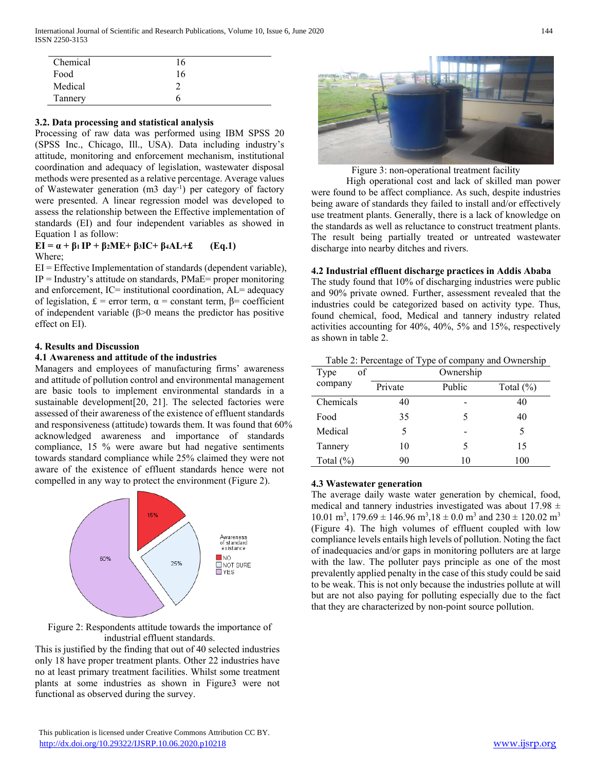International Journal of Scientific and Research Publications, Volume 10, Issue 6, June 2020 144 ISSN 2250-3153

| Chemical | 16 |  |
|----------|----|--|
| Food     | 16 |  |
| Medical  |    |  |
| Tannery  |    |  |

#### **3.2. Data processing and statistical analysis**

Processing of raw data was performed using IBM SPSS 20 (SPSS Inc., Chicago, Ill., USA). Data including industry's attitude, monitoring and enforcement mechanism, institutional coordination and adequacy of legislation, wastewater disposal methods were presented as a relative percentage. Average values of Wastewater generation (m3 day<sup>-1</sup>) per category of factory were presented. A linear regression model was developed to assess the relationship between the Effective implementation of standards (EI) and four independent variables as showed in Equation 1 as follow:

## **EI = α + β1 IP + β2ME+ β3IC+ β4AL+£ (Eq.1)** Where;

EI = Effective Implementation of standards (dependent variable),  $IP = Industry's$  attitude on standards,  $PMaE=$  proper monitoring and enforcement, IC= institutional coordination, AL= adequacy of legislation, £ = error term, α = constant term, β= coefficient of independent variable (β>0 means the predictor has positive effect on EI).

#### **4. Results and Discussion**

## **4.1 Awareness and attitude of the industries**

Managers and employees of manufacturing firms' awareness and attitude of pollution control and environmental management are basic tools to implement environmental standards in a sustainable development[20, 21]. The selected factories were assessed of their awareness of the existence of effluent standards and responsiveness (attitude) towards them. It was found that 60% acknowledged awareness and importance of standards compliance, 15 % were aware but had negative sentiments towards standard compliance while 25% claimed they were not aware of the existence of effluent standards hence were not compelled in any way to protect the environment (Figure 2).



Figure 2: Respondents attitude towards the importance of industrial effluent standards.

This is justified by the finding that out of 40 selected industries only 18 have proper treatment plants. Other 22 industries have no at least primary treatment facilities. Whilst some treatment plants at some industries as shown in Figure3 were not functional as observed during the survey.



Figure 3: non-operational treatment facility

High operational cost and lack of skilled man power were found to be affect compliance. As such, despite industries being aware of standards they failed to install and/or effectively use treatment plants. Generally, there is a lack of knowledge on the standards as well as reluctance to construct treatment plants. The result being partially treated or untreated wastewater discharge into nearby ditches and rivers.

#### **4.2 Industrial effluent discharge practices in Addis Ababa**

The study found that 10% of discharging industries were public and 90% private owned. Further, assessment revealed that the industries could be categorized based on activity type. Thus, found chemical, food, Medical and tannery industry related activities accounting for 40%, 40%, 5% and 15%, respectively as shown in table 2.

#### Table 2: Percentage of Type of company and Ownership

| of<br>Type   | Ownership |        |              |
|--------------|-----------|--------|--------------|
| company      | Private   | Public | Total $(\%)$ |
| Chemicals    | 40        |        | 40           |
| Food         | 35        | 5      | 40           |
| Medical      | 5         |        | 5            |
| Tannery      | 10        | 5      | 15           |
| Total $(\%)$ | 90        | 10     | 100          |

#### **4.3 Wastewater generation**

The average daily waste water generation by chemical, food, medical and tannery industries investigated was about  $17.98 \pm$ 10.01 m<sup>3</sup>, 179.69  $\pm$  146.96 m<sup>3</sup>,18  $\pm$  0.0 m<sup>3</sup> and 230  $\pm$  120.02 m<sup>3</sup> (Figure 4). The high volumes of effluent coupled with low compliance levels entails high levels of pollution. Noting the fact of inadequacies and/or gaps in monitoring polluters are at large with the law. The polluter pays principle as one of the most prevalently applied penalty in the case of this study could be said to be weak. This is not only because the industries pollute at will but are not also paying for polluting especially due to the fact that they are characterized by non-point source pollution.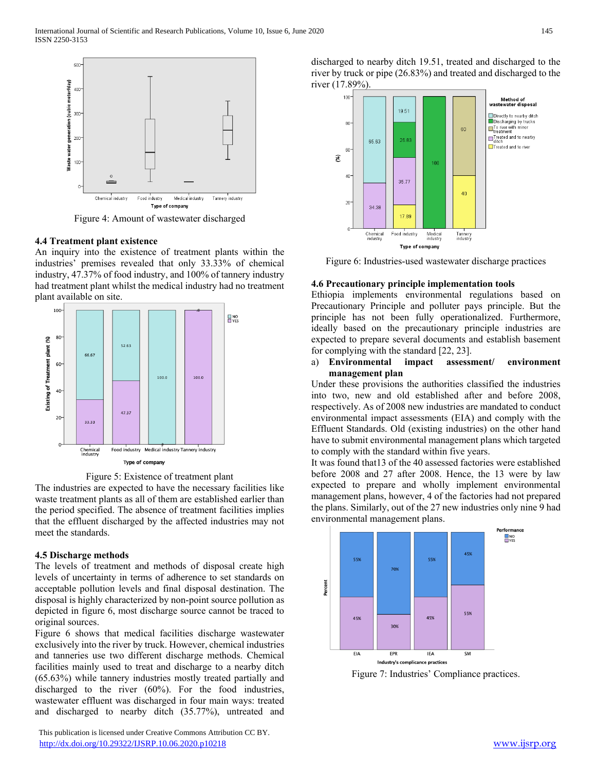

Figure 4: Amount of wastewater discharged

#### **4.4 Treatment plant existence**

An inquiry into the existence of treatment plants within the industries' premises revealed that only 33.33% of chemical industry, 47.37% of food industry, and 100% of tannery industry had treatment plant whilst the medical industry had no treatment plant available on site.



Figure 5: Existence of treatment plant

The industries are expected to have the necessary facilities like waste treatment plants as all of them are established earlier than the period specified. The absence of treatment facilities implies that the effluent discharged by the affected industries may not meet the standards.

#### **4.5 Discharge methods**

The levels of treatment and methods of disposal create high levels of uncertainty in terms of adherence to set standards on acceptable pollution levels and final disposal destination. The disposal is highly characterized by non-point source pollution as depicted in figure 6, most discharge source cannot be traced to original sources.

Figure 6 shows that medical facilities discharge wastewater exclusively into the river by truck. However, chemical industries and tanneries use two different discharge methods. Chemical facilities mainly used to treat and discharge to a nearby ditch (65.63%) while tannery industries mostly treated partially and discharged to the river (60%). For the food industries, wastewater effluent was discharged in four main ways: treated and discharged to nearby ditch (35.77%), untreated and

 This publication is licensed under Creative Commons Attribution CC BY. <http://dx.doi.org/10.29322/IJSRP.10.06.2020.p10218> [www.ijsrp.org](http://ijsrp.org/)

discharged to nearby ditch 19.51, treated and discharged to the river by truck or pipe (26.83%) and treated and discharged to the river (17.89%).



Figure 6: Industries-used wastewater discharge practices

## **4.6 Precautionary principle implementation tools**

Ethiopia implements environmental regulations based on Precautionary Principle and polluter pays principle. But the principle has not been fully operationalized. Furthermore, ideally based on the precautionary principle industries are expected to prepare several documents and establish basement for complying with the standard [22, 23].

a) **Environmental impact assessment/ environment management plan**

Under these provisions the authorities classified the industries into two, new and old established after and before 2008, respectively. As of 2008 new industries are mandated to conduct environmental impact assessments (EIA) and comply with the Effluent Standards. Old (existing industries) on the other hand have to submit environmental management plans which targeted to comply with the standard within five years.

It was found that13 of the 40 assessed factories were established before 2008 and 27 after 2008. Hence, the 13 were by law expected to prepare and wholly implement environmental management plans, however, 4 of the factories had not prepared the plans. Similarly, out of the 27 new industries only nine 9 had environmental management plans.



Figure 7: Industries' Compliance practices.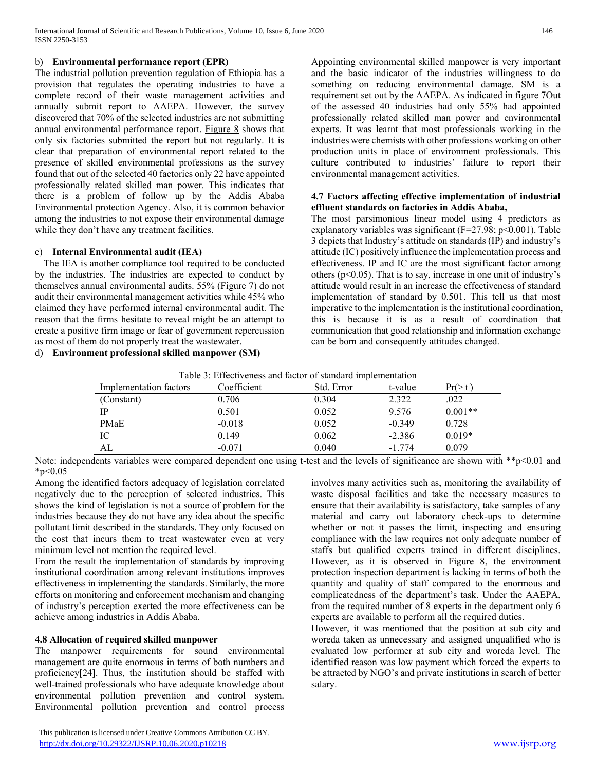## b) **Environmental performance report (EPR)**

The industrial pollution prevention regulation of Ethiopia has a provision that regulates the operating industries to have a complete record of their waste management activities and annually submit report to AAEPA. However, the survey discovered that 70% of the selected industries are not submitting annual environmental performance report. Figure  $8$  shows that only six factories submitted the report but not regularly. It is clear that preparation of environmental report related to the presence of skilled environmental professions as the survey found that out of the selected 40 factories only 22 have appointed professionally related skilled man power. This indicates that there is a problem of follow up by the Addis Ababa Environmental protection Agency. Also, it is common behavior among the industries to not expose their environmental damage while they don't have any treatment facilities.

## c) **Internal Environmental audit (IEA)**

The IEA is another compliance tool required to be conducted by the industries. The industries are expected to conduct by themselves annual environmental audits. 55% (Figure 7) do not audit their environmental management activities while 45% who claimed they have performed internal environmental audit. The reason that the firms hesitate to reveal might be an attempt to create a positive firm image or fear of government repercussion as most of them do not properly treat the wastewater.

d) **Environment professional skilled manpower (SM)**

Appointing environmental skilled manpower is very important and the basic indicator of the industries willingness to do something on reducing environmental damage. SM is a requirement set out by the AAEPA. As indicated in figure 7Out of the assessed 40 industries had only 55% had appointed professionally related skilled man power and environmental experts. It was learnt that most professionals working in the industries were chemists with other professions working on other production units in place of environment professionals. This culture contributed to industries' failure to report their environmental management activities.

## **4.7 Factors affecting effective implementation of industrial effluent standards on factories in Addis Ababa,**

The most parsimonious linear model using 4 predictors as explanatory variables was significant (F=27.98; p<0.001). Table 3 depicts that Industry's attitude on standards (IP) and industry's attitude (IC) positively influence the implementation process and effectiveness. IP and IC are the most significant factor among others (p<0.05). That is to say, increase in one unit of industry's attitude would result in an increase the effectiveness of standard implementation of standard by 0.501. This tell us that most imperative to the implementation is the institutional coordination, this is because it is as a result of coordination that communication that good relationship and information exchange can be born and consequently attitudes changed.

| Table 3: Effectiveness and factor of standard implementation |  |
|--------------------------------------------------------------|--|
|--------------------------------------------------------------|--|

|                        | Tuoto 9. Ehteen viivss unu neem ol sumuutu mistemament |            |          |                    |
|------------------------|--------------------------------------------------------|------------|----------|--------------------|
| Implementation factors | Coefficient                                            | Std. Error | t-value  | $Pr(>\mid t \mid)$ |
| (Constant)             | 0.706                                                  | 0.304      | 2.322    | .022               |
| IP                     | 0.501                                                  | 0.052      | 9.576    | $0.001**$          |
| PMaE                   | $-0.018$                                               | 0.052      | $-0.349$ | 0.728              |
| IC                     | 0.149                                                  | 0.062      | $-2.386$ | $0.019*$           |
| AL                     | $-0.071$                                               | 0.040      | $-1.774$ | 0.079              |

Note: independents variables were compared dependent one using t-test and the levels of significance are shown with \*\*p<0.01 and  $*_{p<0.05}$ 

Among the identified factors adequacy of legislation correlated negatively due to the perception of selected industries. This shows the kind of legislation is not a source of problem for the industries because they do not have any idea about the specific pollutant limit described in the standards. They only focused on the cost that incurs them to treat wastewater even at very minimum level not mention the required level.

From the result the implementation of standards by improving institutional coordination among relevant institutions improves effectiveness in implementing the standards. Similarly, the more efforts on monitoring and enforcement mechanism and changing of industry's perception exerted the more effectiveness can be achieve among industries in Addis Ababa.

#### **4.8 Allocation of required skilled manpower**

The manpower requirements for sound environmental management are quite enormous in terms of both numbers and proficiency[24]. Thus, the institution should be staffed with well-trained professionals who have adequate knowledge about environmental pollution prevention and control system. Environmental pollution prevention and control process

 This publication is licensed under Creative Commons Attribution CC BY. <http://dx.doi.org/10.29322/IJSRP.10.06.2020.p10218> [www.ijsrp.org](http://ijsrp.org/)

involves many activities such as, monitoring the availability of waste disposal facilities and take the necessary measures to ensure that their availability is satisfactory, take samples of any material and carry out laboratory check-ups to determine whether or not it passes the limit, inspecting and ensuring compliance with the law requires not only adequate number of staffs but qualified experts trained in different disciplines. However, as it is observed in Figure 8, the environment protection inspection department is lacking in terms of both the quantity and quality of staff compared to the enormous and complicatedness of the department's task. Under the AAEPA, from the required number of 8 experts in the department only 6 experts are available to perform all the required duties.

However, it was mentioned that the position at sub city and woreda taken as unnecessary and assigned unqualified who is evaluated low performer at sub city and woreda level. The identified reason was low payment which forced the experts to be attracted by NGO's and private institutions in search of better salary.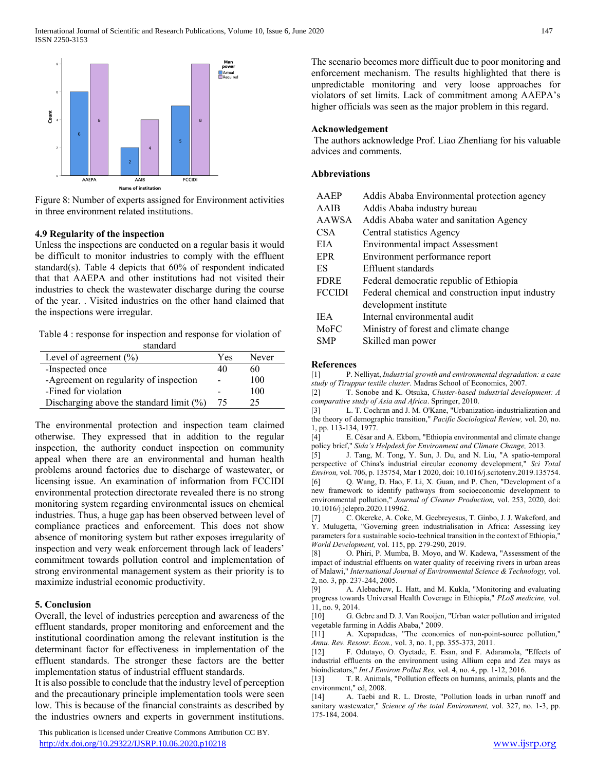

Figure 8: Number of experts assigned for Environment activities in three environment related institutions.

#### **4.9 Regularity of the inspection**

Unless the inspections are conducted on a regular basis it would be difficult to monitor industries to comply with the effluent standard(s). Table 4 depicts that 60% of respondent indicated that that AAEPA and other institutions had not visited their industries to check the wastewater discharge during the course of the year. . Visited industries on the other hand claimed that the inspections were irregular.

Table 4 : response for inspection and response for violation of

| standard                                    |     |       |
|---------------------------------------------|-----|-------|
| Level of agreement $(\%)$                   | Yes | Never |
| -Inspected once                             | 40  | 60    |
| -Agreement on regularity of inspection      |     | 100   |
| -Fined for violation                        |     | 100   |
| Discharging above the standard limit $(\%)$ | 75  | 25    |

The environmental protection and inspection team claimed otherwise. They expressed that in addition to the regular inspection, the authority conduct inspection on community appeal when there are an environmental and human health problems around factories due to discharge of wastewater, or licensing issue. An examination of information from FCCIDI environmental protection directorate revealed there is no strong monitoring system regarding environmental issues on chemical industries. Thus, a huge gap has been observed between level of compliance practices and enforcement. This does not show absence of monitoring system but rather exposes irregularity of inspection and very weak enforcement through lack of leaders' commitment towards pollution control and implementation of strong environmental management system as their priority is to maximize industrial economic productivity.

## **5. Conclusion**

Overall, the level of industries perception and awareness of the effluent standards, proper monitoring and enforcement and the institutional coordination among the relevant institution is the determinant factor for effectiveness in implementation of the effluent standards. The stronger these factors are the better implementation status of industrial effluent standards.

It is also possible to conclude that the industry level of perception and the precautionary principle implementation tools were seen low. This is because of the financial constraints as described by the industries owners and experts in government institutions.

 This publication is licensed under Creative Commons Attribution CC BY. <http://dx.doi.org/10.29322/IJSRP.10.06.2020.p10218> [www.ijsrp.org](http://ijsrp.org/)

The scenario becomes more difficult due to poor monitoring and enforcement mechanism. The results highlighted that there is unpredictable monitoring and very loose approaches for violators of set limits. Lack of commitment among AAEPA's higher officials was seen as the major problem in this regard.

## **Acknowledgement**

The authors acknowledge Prof. Liao Zhenliang for his valuable advices and comments.

## **Abbreviations**

| AAEP          | Addis Ababa Environmental protection agency      |
|---------------|--------------------------------------------------|
| AAIB          | Addis Ababa industry bureau                      |
| AAWSA         | Addis Ababa water and sanitation Agency          |
| CSA           | Central statistics Agency                        |
| EIA.          | <b>Environmental impact Assessment</b>           |
| <b>EPR</b>    | Environment performance report                   |
| ES            | Effluent standards                               |
| <b>FDRE</b>   | Federal democratic republic of Ethiopia          |
| <b>FCCIDI</b> | Federal chemical and construction input industry |
|               | development institute                            |
| IEA.          | Internal environmental audit                     |
| MoFC          | Ministry of forest and climate change            |
| SMP           | Skilled man power                                |
|               |                                                  |

#### **References**

[1] P. Nelliyat, *Industrial growth and environmental degradation: a case study of Tiruppur textile cluster*. Madras School of Economics, 2007.

[2] T. Sonobe and K. Otsuka, *Cluster-based industrial development: A comparative study of Asia and Africa*. Springer, 2010.

[3] L. T. Cochran and J. M. O'Kane, "Urbanization-industrialization and the theory of demographic transition," *Pacific Sociological Review,* vol. 20, no. 1, pp. 113-134, 1977.

[4] E. César and A. Ekbom, "Ethiopia environmental and climate change policy brief," *Sida's Helpdesk for Environment and Climate Change,* 2013.

[5] J. Tang, M. Tong, Y. Sun, J. Du, and N. Liu, "A spatio-temporal perspective of China's industrial circular economy development," *Sci Total Environ,* vol. 706, p. 135754, Mar 1 2020, doi: 10.1016/j.scitotenv.2019.135754. [6] Q. Wang, D. Hao, F. Li, X. Guan, and P. Chen, "Development of a new framework to identify pathways from socioeconomic development to

environmental pollution," *Journal of Cleaner Production,* vol. 253, 2020, doi: 10.1016/j.jclepro.2020.119962. [7] C. Okereke, A. Coke, M. Geebreyesus, T. Ginbo, J. J. Wakeford, and

Y. Mulugetta, "Governing green industrialisation in Africa: Assessing key parameters for a sustainable socio-technical transition in the context of Ethiopia," *World Development,* vol. 115, pp. 279-290, 2019.

[8] O. Phiri, P. Mumba, B. Moyo, and W. Kadewa, "Assessment of the impact of industrial effluents on water quality of receiving rivers in urban areas of Malawi," *International Journal of Environmental Science & Technology,* vol. 2, no. 3, pp. 237-244, 2005.

[9] A. Alebachew, L. Hatt, and M. Kukla, "Monitoring and evaluating progress towards Universal Health Coverage in Ethiopia," *PLoS medicine,* vol. 11, no. 9, 2014.

[10] G. Gebre and D. J. Van Rooijen, "Urban water pollution and irrigated vegetable farming in Addis Ababa," 2009.

[11] A. Xepapadeas, "The economics of non-point-source pollution," *Annu. Rev. Resour. Econ.,* vol. 3, no. 1, pp. 355-373, 2011.

[12] F. Odutayo, O. Oyetade, E. Esan, and F. Adaramola, "Effects of industrial effluents on the environment using Allium cepa and Zea mays as bioindicators," *Int J Environ Pollut Res,* vol. 4, no. 4, pp. 1-12, 2016.

[13] T. R. Animals, "Pollution effects on humans, animals, plants and the environment," ed, 2008.

[14] A. Taebi and R. L. Droste, "Pollution loads in urban runoff and sanitary wastewater," *Science of the total Environment,* vol. 327, no. 1-3, pp. 175-184, 2004.